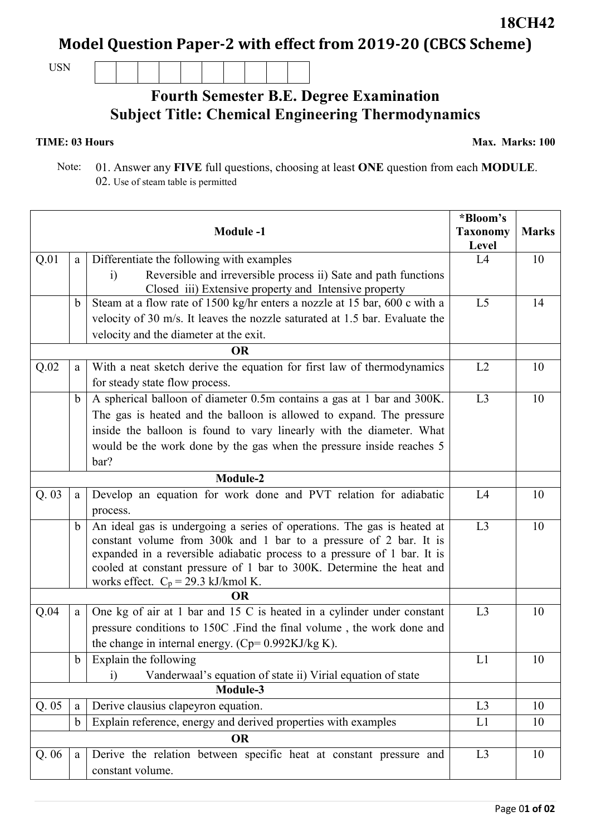## **Model Question Paper-2 with effect from 2019-20 (CBCS Scheme)**

USN

## **Fourth Semester B.E. Degree Examination Subject Title: Chemical Engineering Thermodynamics**

## **TIME: 03 Hours**

**Max. Marks: 100**

 Note: 01. Answer any **FIVE** full questions, choosing at least **ONE** question from each **MODULE**. 02. Use of steam table is permitted

|           |              | <b>Module-1</b>                                                                                               | *Bloom's<br><b>Taxonomy</b><br>Level | <b>Marks</b> |
|-----------|--------------|---------------------------------------------------------------------------------------------------------------|--------------------------------------|--------------|
| Q.01      | a            | Differentiate the following with examples                                                                     | L4                                   | 10           |
|           |              | Reversible and irreversible process ii) Sate and path functions<br>$\ddot{1}$                                 |                                      |              |
|           |              | Closed iii) Extensive property and Intensive property                                                         |                                      |              |
|           | b            | Steam at a flow rate of 1500 kg/hr enters a nozzle at 15 bar, 600 c with a                                    | L5                                   | 14           |
|           |              | velocity of 30 m/s. It leaves the nozzle saturated at 1.5 bar. Evaluate the                                   |                                      |              |
|           |              | velocity and the diameter at the exit.                                                                        |                                      |              |
| <b>OR</b> |              |                                                                                                               |                                      |              |
| Q.02      | a            | With a neat sketch derive the equation for first law of thermodynamics                                        | L2                                   | 10           |
|           |              | for steady state flow process.                                                                                |                                      |              |
|           | b            | A spherical balloon of diameter 0.5m contains a gas at 1 bar and 300K.                                        | L3                                   | 10           |
|           |              | The gas is heated and the balloon is allowed to expand. The pressure                                          |                                      |              |
|           |              | inside the balloon is found to vary linearly with the diameter. What                                          |                                      |              |
|           |              | would be the work done by the gas when the pressure inside reaches 5                                          |                                      |              |
|           |              | bar?                                                                                                          |                                      |              |
| Module-2  |              |                                                                                                               |                                      |              |
| Q.03      | $\mathbf{a}$ | Develop an equation for work done and PVT relation for adiabatic                                              | L4                                   | 10           |
|           |              | process.                                                                                                      |                                      |              |
|           | b            | An ideal gas is undergoing a series of operations. The gas is heated at                                       | L3                                   | 10           |
|           |              | constant volume from 300k and 1 bar to a pressure of 2 bar. It is                                             |                                      |              |
|           |              | expanded in a reversible adiabatic process to a pressure of 1 bar. It is                                      |                                      |              |
|           |              | cooled at constant pressure of 1 bar to 300K. Determine the heat and<br>works effect. $C_p = 29.3$ kJ/kmol K. |                                      |              |
|           |              |                                                                                                               |                                      |              |
| Q.04      | a            | One kg of air at 1 bar and 15 C is heated in a cylinder under constant                                        | L3                                   | 10           |
|           |              | pressure conditions to 150C .Find the final volume, the work done and                                         |                                      |              |
|           |              | the change in internal energy. (Cp= $0.992KJ/kg K$ ).                                                         |                                      |              |
|           | $\mathbf b$  | Explain the following                                                                                         | L1                                   | 10           |
|           |              | Vanderwaal's equation of state ii) Virial equation of state<br>$\ddot{1}$                                     |                                      |              |
| Module-3  |              |                                                                                                               |                                      |              |
| Q.05      | a            | Derive clausius clapeyron equation.                                                                           | L3                                   | 10           |
|           | $\mathbf b$  | Explain reference, energy and derived properties with examples                                                | L1                                   | 10           |
|           |              | <b>OR</b>                                                                                                     |                                      |              |
| Q.06      | a            | Derive the relation between specific heat at constant pressure and                                            | L <sub>3</sub>                       | 10           |
|           |              | constant volume.                                                                                              |                                      |              |